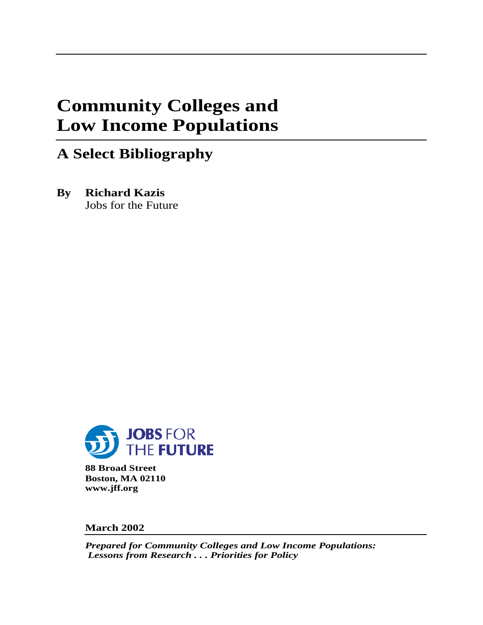# **Community Colleges and Low Income Populations**

## **A Select Bibliography**

**By Richard Kazis** Jobs for the Future



**88 Broad Street Boston, MA 02110 www.jff.org**

**March 2002**

*Prepared for Community Colleges and Low Income Populations: Lessons from Research . . . Priorities for Policy*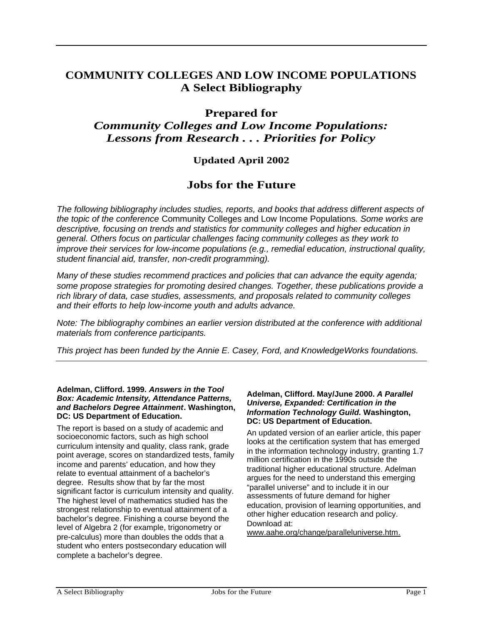## **COMMUNITY COLLEGES AND LOW INCOME POPULATIONS A Select Bibliography**

### **Prepared for**

## *Community Colleges and Low Income Populations: Lessons from Research . . . Priorities for Policy*

## **Updated April 2002**

## **Jobs for the Future**

The following bibliography includes studies, reports, and books that address different aspects of the topic of the conference Community Colleges and Low Income Populations. Some works are descriptive, focusing on trends and statistics for community colleges and higher education in general. Others focus on particular challenges facing community colleges as they work to improve their services for low-income populations (e.g., remedial education, instructional quality, student financial aid, transfer, non-credit programming).

Many of these studies recommend practices and policies that can advance the equity agenda; some propose strategies for promoting desired changes. Together, these publications provide a rich library of data, case studies, assessments, and proposals related to community colleges and their efforts to help low-income youth and adults advance.

Note: The bibliography combines an earlier version distributed at the conference with additional materials from conference participants.

This project has been funded by the Annie E. Casey, Ford, and KnowledgeWorks foundations.

#### **Adelman, Clifford. 1999. Answers in the Tool Box: Academic Intensity, Attendance Patterns, and Bachelors Degree Attainment. Washington, DC: US Department of Education.**

The report is based on a study of academic and socioeconomic factors, such as high school curriculum intensity and quality, class rank, grade point average, scores on standardized tests, family income and parents' education, and how they relate to eventual attainment of a bachelor's degree. Results show that by far the most significant factor is curriculum intensity and quality. The highest level of mathematics studied has the strongest relationship to eventual attainment of a bachelor's degree. Finishing a course beyond the level of Algebra 2 (for example, trigonometry or pre-calculus) more than doubles the odds that a student who enters postsecondary education will complete a bachelor's degree.

#### **Adelman, Clifford. May/June 2000. A Parallel Universe, Expanded: Certification in the Information Technology Guild. Washington, DC: US Department of Education.**

An updated version of an earlier article, this paper looks at the certification system that has emerged in the information technology industry, granting 1.7 million certification in the 1990s outside the traditional higher educational structure. Adelman argues for the need to understand this emerging "parallel universe" and to include it in our assessments of future demand for higher education, provision of learning opportunities, and other higher education research and policy. Download at:

www.aahe.org/change/paralleluniverse.htm.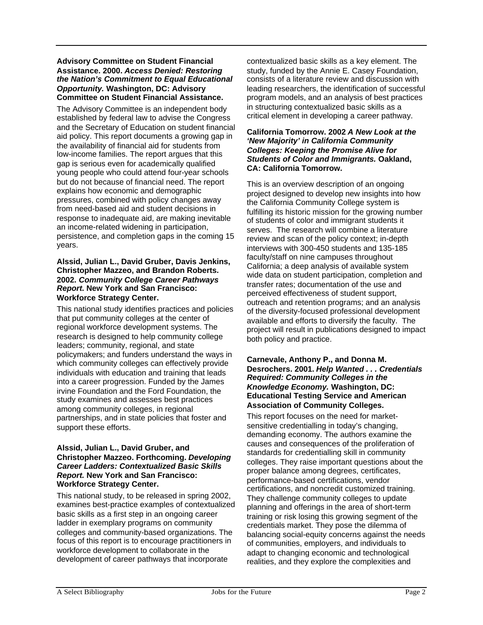#### **Advisory Committee on Student Financial Assistance. 2000. Access Denied: Restoring the Nation's Commitment to Equal Educational Opportunity. Washington, DC: Advisory Committee on Student Financial Assistance.**

The Advisory Committee is an independent body established by federal law to advise the Congress and the Secretary of Education on student financial aid policy. This report documents a growing gap in the availability of financial aid for students from low-income families. The report argues that this gap is serious even for academically qualified young people who could attend four-year schools but do not because of financial need. The report explains how economic and demographic pressures, combined with policy changes away from need-based aid and student decisions in response to inadequate aid, are making inevitable an income-related widening in participation, persistence, and completion gaps in the coming 15 years.

#### **Alssid, Julian L., David Gruber, Davis Jenkins, Christopher Mazzeo, and Brandon Roberts. 2002. Community College Career Pathways Report. New York and San Francisco: Workforce Strategy Center.**

This national study identifies practices and policies that put community colleges at the center of regional workforce development systems. The research is designed to help community college leaders; community, regional, and state policymakers; and funders understand the ways in which community colleges can effectively provide individuals with education and training that leads into a career progression. Funded by the James irvine Foundation and the Ford Foundation, the study examines and assesses best practices among community colleges, in regional partnerships, and in state policies that foster and support these efforts.

#### **Alssid, Julian L., David Gruber, and Christopher Mazzeo. Forthcoming. Developing Career Ladders: Contextualized Basic Skills Report. New York and San Francisco: Workforce Strategy Center.**

This national study, to be released in spring 2002, examines best-practice examples of contextualized basic skills as a first step in an ongoing career ladder in exemplary programs on community colleges and community-based organizations. The focus of this report is to encourage practitioners in workforce development to collaborate in the development of career pathways that incorporate

contextualized basic skills as a key element. The study, funded by the Annie E. Casey Foundation, consists of a literature review and discussion with leading researchers, the identification of successful program models, and an analysis of best practices in structuring contextualized basic skills as a critical element in developing a career pathway.

#### **California Tomorrow. 2002 A New Look at the 'New Majority' in California Community Colleges: Keeping the Promise Alive for Students of Color and Immigrants. Oakland, CA: California Tomorrow.**

This is an overview description of an ongoing project designed to develop new insights into how the California Community College system is fulfilling its historic mission for the growing number of students of color and immigrant students it serves. The research will combine a literature review and scan of the policy context; in-depth interviews with 300-450 students and 135-185 faculty/staff on nine campuses throughout California; a deep analysis of available system wide data on student participation, completion and transfer rates; documentation of the use and perceived effectiveness of student support, outreach and retention programs; and an analysis of the diversity-focused professional development available and efforts to diversify the faculty. The project will result in publications designed to impact both policy and practice.

#### **Carnevale, Anthony P., and Donna M. Desrochers. 2001. Help Wanted . . . Credentials Required: Community Colleges in the Knowledge Economy. Washington, DC: Educational Testing Service and American Association of Community Colleges.**

This report focuses on the need for marketsensitive credentialling in today's changing, demanding economy. The authors examine the causes and consequences of the proliferation of standards for credentialling skill in community colleges. They raise important questions about the proper balance among degrees, certificates, performance-based certifications, vendor certifications, and noncredit customized training. They challenge community colleges to update planning and offerings in the area of short-term training or risk losing this growing segment of the credentials market. They pose the dilemma of balancing social-equity concerns against the needs of communities, employers, and individuals to adapt to changing economic and technological realities, and they explore the complexities and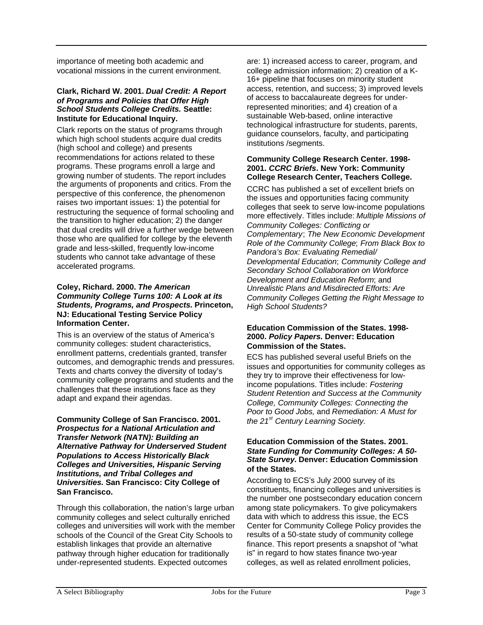importance of meeting both academic and vocational missions in the current environment.

#### **Clark, Richard W. 2001. Dual Credit: A Report of Programs and Policies that Offer High School Students College Credits. Seattle: Institute for Educational Inquiry.**

Clark reports on the status of programs through which high school students acquire dual credits (high school and college) and presents recommendations for actions related to these programs. These programs enroll a large and growing number of students. The report includes the arguments of proponents and critics. From the perspective of this conference, the phenomenon raises two important issues: 1) the potential for restructuring the sequence of formal schooling and the transition to higher education; 2) the danger that dual credits will drive a further wedge between those who are qualified for college by the eleventh grade and less-skilled, frequently low-income students who cannot take advantage of these accelerated programs.

#### **Coley, Richard. 2000. The American Community College Turns 100: A Look at its Students, Programs, and Prospects. Princeton, NJ: Educational Testing Service Policy Information Center.**

This is an overview of the status of America's community colleges: student characteristics, enrollment patterns, credentials granted, transfer outcomes, and demographic trends and pressures. Texts and charts convey the diversity of today's community college programs and students and the challenges that these institutions face as they adapt and expand their agendas.

**Community College of San Francisco. 2001. Prospectus for a National Articulation and Transfer Network (NATN): Building an Alternative Pathway for Underserved Student Populations to Access Historically Black Colleges and Universities, Hispanic Serving Institutions, and Tribal Colleges and Universities. San Francisco: City College of San Francisco.**

Through this collaboration, the nation's large urban community colleges and select culturally enriched colleges and universities will work with the member schools of the Council of the Great City Schools to establish linkages that provide an alternative pathway through higher education for traditionally under-represented students. Expected outcomes

are: 1) increased access to career, program, and college admission information; 2) creation of a K-16+ pipeline that focuses on minority student access, retention, and success; 3) improved levels of access to baccalaureate degrees for underrepresented minorities; and 4) creation of a sustainable Web-based, online interactive technological infrastructure for students, parents, guidance counselors, faculty, and participating institutions /segments.

#### **Community College Research Center. 1998- 2001. CCRC Briefs. New York: Community College Research Center, Teachers College.**

CCRC has published a set of excellent briefs on the issues and opportunities facing community colleges that seek to serve low-income populations more effectively. Titles include: Multiple Missions of Community Colleges: Conflicting or Complementary; The New Economic Development Role of the Community College; From Black Box to Pandora's Box: Evaluating Remedial/ Developmental Education; Community College and Secondary School Collaboration on Workforce Development and Education Reform; and Unrealistic Plans and Misdirected Efforts: Are Community Colleges Getting the Right Message to High School Students?

#### **Education Commission of the States. 1998- 2000. Policy Papers. Denver: Education Commission of the States.**

ECS has published several useful Briefs on the issues and opportunities for community colleges as they try to improve their effectiveness for lowincome populations. Titles include: Fostering Student Retention and Success at the Community College, Community Colleges: Connecting the Poor to Good Jobs, and Remediation: A Must for the  $21<sup>st</sup>$  Century Learning Society.

#### **Education Commission of the States. 2001. State Funding for Community Colleges: A 50- State Survey. Denver: Education Commission of the States.**

According to ECS's July 2000 survey of its constituents, financing colleges and universities is the number one postsecondary education concern among state policymakers. To give policymakers data with which to address this issue, the ECS Center for Community College Policy provides the results of a 50-state study of community college finance. This report presents a snapshot of "what is" in regard to how states finance two-year colleges, as well as related enrollment policies,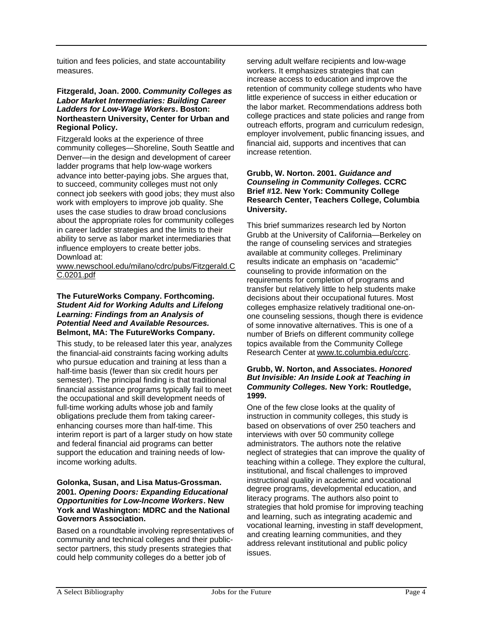tuition and fees policies, and state accountability measures.

#### **Fitzgerald, Joan. 2000. Community Colleges as Labor Market Intermediaries: Building Career Ladders for Low-Wage Workers. Boston: Northeastern University, Center for Urban and Regional Policy.**

Fitzgerald looks at the experience of three community colleges—Shoreline, South Seattle and Denver—in the design and development of career ladder programs that help low-wage workers advance into better-paying jobs. She argues that, to succeed, community colleges must not only connect job seekers with good jobs; they must also work with employers to improve job quality. She uses the case studies to draw broad conclusions about the appropriate roles for community colleges in career ladder strategies and the limits to their ability to serve as labor market intermediaries that influence employers to create better jobs. Download at:

www.newschool.edu/milano/cdrc/pubs/Fitzgerald.C C.0201.pdf

#### **The FutureWorks Company. Forthcoming. Student Aid for Working Adults and Lifelong Learning: Findings from an Analysis of Potential Need and Available Resources. Belmont, MA: The FutureWorks Company.**

This study, to be released later this year, analyzes the financial-aid constraints facing working adults who pursue education and training at less than a half-time basis (fewer than six credit hours per semester). The principal finding is that traditional financial assistance programs typically fail to meet the occupational and skill development needs of full-time working adults whose job and family obligations preclude them from taking careerenhancing courses more than half-time. This interim report is part of a larger study on how state and federal financial aid programs can better support the education and training needs of lowincome working adults.

#### **Golonka, Susan, and Lisa Matus-Grossman. 2001. Opening Doors: Expanding Educational Opportunities for Low-Income Workers. New York and Washington: MDRC and the National Governors Association.**

Based on a roundtable involving representatives of community and technical colleges and their publicsector partners, this study presents strategies that could help community colleges do a better job of

serving adult welfare recipients and low-wage workers. It emphasizes strategies that can increase access to education and improve the retention of community college students who have little experience of success in either education or the labor market. Recommendations address both college practices and state policies and range from outreach efforts, program and curriculum redesign, employer involvement, public financing issues, and financial aid, supports and incentives that can increase retention.

#### **Grubb, W. Norton. 2001. Guidance and Counseling in Community Colleges. CCRC Brief #12. New York: Community College Research Center, Teachers College, Columbia University.**

This brief summarizes research led by Norton Grubb at the University of California—Berkeley on the range of counseling services and strategies available at community colleges. Preliminary results indicate an emphasis on "academic" counseling to provide information on the requirements for completion of programs and transfer but relatively little to help students make decisions about their occupational futures. Most colleges emphasize relatively traditional one-onone counseling sessions, though there is evidence of some innovative alternatives. This is one of a number of Briefs on different community college topics available from the Community College Research Center at www.tc.columbia.edu/ccrc.

#### **Grubb, W. Norton, and Associates. Honored But Invisible: An Inside Look at Teaching in Community Colleges. New York: Routledge, 1999.**

One of the few close looks at the quality of instruction in community colleges, this study is based on observations of over 250 teachers and interviews with over 50 community college administrators. The authors note the relative neglect of strategies that can improve the quality of teaching within a college. They explore the cultural, institutional, and fiscal challenges to improved instructional quality in academic and vocational degree programs, developmental education, and literacy programs. The authors also point to strategies that hold promise for improving teaching and learning, such as integrating academic and vocational learning, investing in staff development, and creating learning communities, and they address relevant institutional and public policy issues.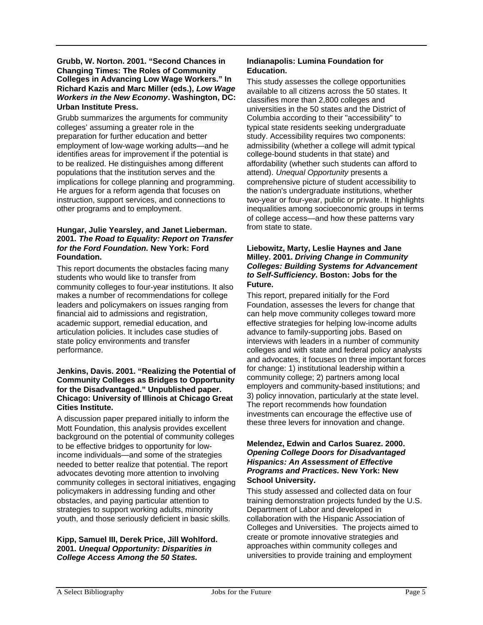#### **Grubb, W. Norton. 2001. "Second Chances in Changing Times: The Roles of Community Colleges in Advancing Low Wage Workers." In Richard Kazis and Marc Miller (eds.), Low Wage Workers in the New Economy. Washington, DC: Urban Institute Press.**

Grubb summarizes the arguments for community colleges' assuming a greater role in the preparation for further education and better employment of low-wage working adults—and he identifies areas for improvement if the potential is to be realized. He distinguishes among different populations that the institution serves and the implications for college planning and programming. He argues for a reform agenda that focuses on instruction, support services, and connections to other programs and to employment.

#### **Hungar, Julie Yearsley, and Janet Lieberman. 2001. The Road to Equality: Report on Transfer for the Ford Foundation. New York: Ford Foundation.**

This report documents the obstacles facing many students who would like to transfer from community colleges to four-year institutions. It also makes a number of recommendations for college leaders and policymakers on issues ranging from financial aid to admissions and registration, academic support, remedial education, and articulation policies. It includes case studies of state policy environments and transfer performance.

#### **Jenkins, Davis. 2001. "Realizing the Potential of Community Colleges as Bridges to Opportunity for the Disadvantaged." Unpublished paper. Chicago: University of Illinois at Chicago Great Cities Institute.**

A discussion paper prepared initially to inform the Mott Foundation, this analysis provides excellent background on the potential of community colleges to be effective bridges to opportunity for lowincome individuals—and some of the strategies needed to better realize that potential. The report advocates devoting more attention to involving community colleges in sectoral initiatives, engaging policymakers in addressing funding and other obstacles, and paying particular attention to strategies to support working adults, minority youth, and those seriously deficient in basic skills.

#### **Kipp, Samuel III, Derek Price, Jill Wohlford. 2001. Unequal Opportunity: Disparities in College Access Among the 50 States.**

#### **Indianapolis: Lumina Foundation for Education.**

This study assesses the college opportunities available to all citizens across the 50 states. It classifies more than 2,800 colleges and universities in the 50 states and the District of Columbia according to their "accessibility" to typical state residents seeking undergraduate study. Accessibility requires two components: admissibility (whether a college will admit typical college-bound students in that state) and affordability (whether such students can afford to attend). Unequal Opportunity presents a comprehensive picture of student accessibility to the nation's undergraduate institutions, whether two-year or four-year, public or private. It highlights inequalities among socioeconomic groups in terms of college access—and how these patterns vary from state to state.

#### **Liebowitz, Marty, Leslie Haynes and Jane Milley. 2001. Driving Change in Community Colleges: Building Systems for Advancement to Self-Sufficiency. Boston: Jobs for the Future.**

This report, prepared initially for the Ford Foundation, assesses the levers for change that can help move community colleges toward more effective strategies for helping low-income adults advance to family-supporting jobs. Based on interviews with leaders in a number of community colleges and with state and federal policy analysts and advocates, it focuses on three important forces for change: 1) institutional leadership within a community college; 2) partners among local employers and community-based institutions; and 3) policy innovation, particularly at the state level. The report recommends how foundation investments can encourage the effective use of these three levers for innovation and change.

#### **Melendez, Edwin and Carlos Suarez. 2000. Opening College Doors for Disadvantaged Hispanics: An Assessment of Effective Programs and Practices. New York: New School University.**

This study assessed and collected data on four training demonstration projects funded by the U.S. Department of Labor and developed in collaboration with the Hispanic Association of Colleges and Universities. The projects aimed to create or promote innovative strategies and approaches within community colleges and universities to provide training and employment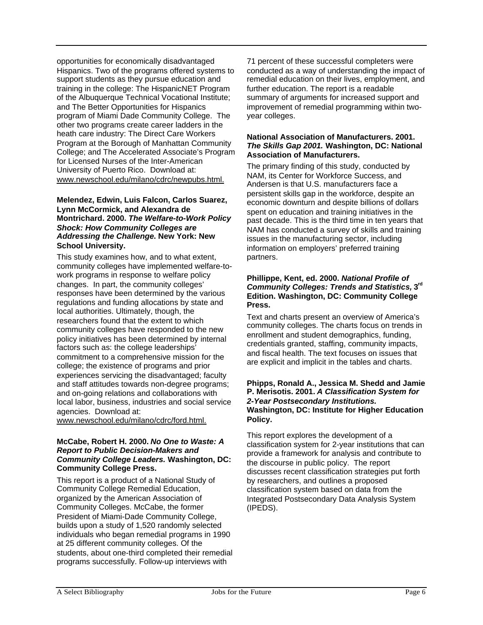opportunities for economically disadvantaged Hispanics. Two of the programs offered systems to support students as they pursue education and training in the college: The HispanicNET Program of the Albuquerque Technical Vocational Institute; and The Better Opportunities for Hispanics program of Miami Dade Community College. The other two programs create career ladders in the heath care industry: The Direct Care Workers Program at the Borough of Manhattan Community College; and The Accelerated Associate's Program for Licensed Nurses of the Inter-American University of Puerto Rico. Download at: www.newschool.edu/milano/cdrc/newpubs.html.

#### **Melendez, Edwin, Luis Falcon, Carlos Suarez, Lynn McCormick, and Alexandra de Montrichard. 2000. The Welfare-to-Work Policy Shock: How Community Colleges are Addressing the Challenge. New York: New School University.**

This study examines how, and to what extent, community colleges have implemented welfare-towork programs in response to welfare policy changes. In part, the community colleges' responses have been determined by the various regulations and funding allocations by state and local authorities. Ultimately, though, the researchers found that the extent to which community colleges have responded to the new policy initiatives has been determined by internal factors such as: the college leaderships' commitment to a comprehensive mission for the college; the existence of programs and prior experiences servicing the disadvantaged; faculty and staff attitudes towards non-degree programs; and on-going relations and collaborations with local labor, business, industries and social service agencies. Download at:

www.newschool.edu/milano/cdrc/ford.html.

#### **McCabe, Robert H. 2000. No One to Waste: A Report to Public Decision-Makers and Community College Leaders. Washington, DC: Community College Press.**

This report is a product of a National Study of Community College Remedial Education, organized by the American Association of Community Colleges. McCabe, the former President of Miami-Dade Community College, builds upon a study of 1,520 randomly selected individuals who began remedial programs in 1990 at 25 different community colleges. Of the students, about one-third completed their remedial programs successfully. Follow-up interviews with

71 percent of these successful completers were conducted as a way of understanding the impact of remedial education on their lives, employment, and further education. The report is a readable summary of arguments for increased support and improvement of remedial programming within twoyear colleges.

#### **National Association of Manufacturers. 2001. The Skills Gap 2001. Washington, DC: National Association of Manufacturers.**

The primary finding of this study, conducted by NAM, its Center for Workforce Success, and Andersen is that U.S. manufacturers face a persistent skills gap in the workforce, despite an economic downturn and despite billions of dollars spent on education and training initiatives in the past decade. This is the third time in ten years that NAM has conducted a survey of skills and training issues in the manufacturing sector, including information on employers' preferred training partners.

#### **Phillippe, Kent, ed. 2000. National Profile of Community Colleges: Trends and Statistics, 3rd Edition. Washington, DC: Community College Press.**

Text and charts present an overview of America's community colleges. The charts focus on trends in enrollment and student demographics, funding, credentials granted, staffing, community impacts, and fiscal health. The text focuses on issues that are explicit and implicit in the tables and charts.

#### **Phipps, Ronald A., Jessica M. Shedd and Jamie P. Merisotis. 2001. A Classification System for 2-Year Postsecondary Institutions. Washington, DC: Institute for Higher Education Policy.**

This report explores the development of a classification system for 2-year institutions that can provide a framework for analysis and contribute to the discourse in public policy. The report discusses recent classification strategies put forth by researchers, and outlines a proposed classification system based on data from the Integrated Postsecondary Data Analysis System (IPEDS).